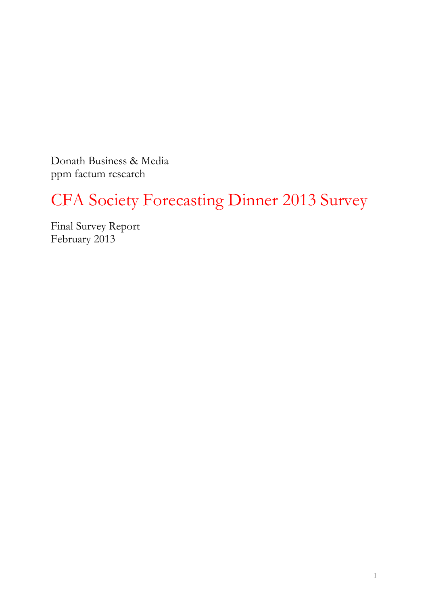Donath Business & Media ppm factum research

# CFA Society Forecasting Dinner 2013 Survey

Final Survey Report February 2013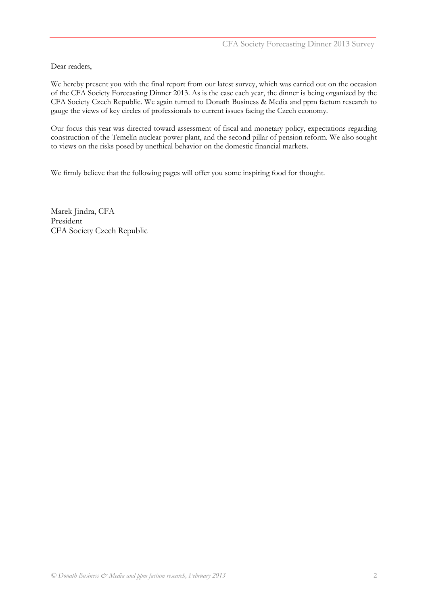Dear readers,

We hereby present you with the final report from our latest survey, which was carried out on the occasion of the CFA Society Forecasting Dinner 2013. As is the case each year, the dinner is being organized by the CFA Society Czech Republic. We again turned to Donath Business & Media and ppm factum research to gauge the views of key circles of professionals to current issues facing the Czech economy.

Our focus this year was directed toward assessment of fiscal and monetary policy, expectations regarding construction of the Temelín nuclear power plant, and the second pillar of pension reform. We also sought to views on the risks posed by unethical behavior on the domestic financial markets.

We firmly believe that the following pages will offer you some inspiring food for thought.

Marek Jindra, CFA President CFA Society Czech Republic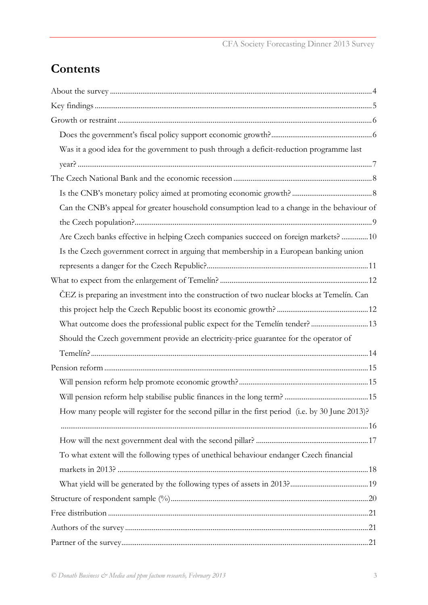## **Contents**

| Was it a good idea for the government to push through a deficit-reduction programme last        |  |
|-------------------------------------------------------------------------------------------------|--|
|                                                                                                 |  |
|                                                                                                 |  |
|                                                                                                 |  |
| Can the CNB's appeal for greater household consumption lead to a change in the behaviour of     |  |
|                                                                                                 |  |
| Are Czech banks effective in helping Czech companies succeed on foreign markets?  10            |  |
| Is the Czech government correct in arguing that membership in a European banking union          |  |
|                                                                                                 |  |
|                                                                                                 |  |
| ČEZ is preparing an investment into the construction of two nuclear blocks at Temelín. Can      |  |
|                                                                                                 |  |
| What outcome does the professional public expect for the Temelín tender?13                      |  |
| Should the Czech government provide an electricity-price guarantee for the operator of          |  |
|                                                                                                 |  |
|                                                                                                 |  |
|                                                                                                 |  |
|                                                                                                 |  |
| How many people will register for the second pillar in the first period (i.e. by 30 June 2013)? |  |
|                                                                                                 |  |
|                                                                                                 |  |
| To what extent will the following types of unethical behaviour endanger Czech financial         |  |
|                                                                                                 |  |
|                                                                                                 |  |
|                                                                                                 |  |
|                                                                                                 |  |
|                                                                                                 |  |
|                                                                                                 |  |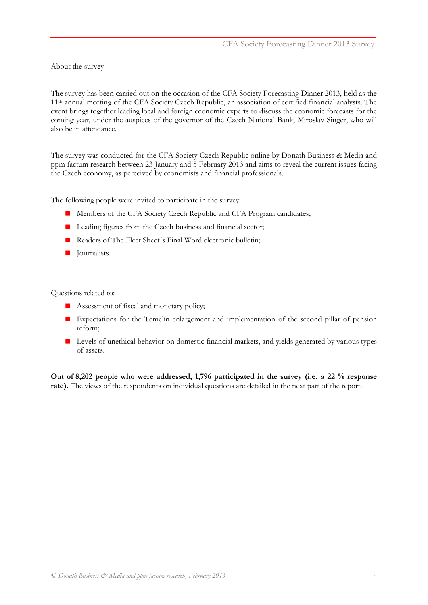<span id="page-3-0"></span>About the survey

The survey has been carried out on the occasion of the CFA Society Forecasting Dinner 2013, held as the 11th annual meeting of the CFA Society Czech Republic, an association of certified financial analysts. The event brings together leading local and foreign economic experts to discuss the economic forecasts for the coming year, under the auspices of the governor of the Czech National Bank, Miroslav Singer, who will also be in attendance.

The survey was conducted for the CFA Society Czech Republic online by Donath Business & Media and ppm factum research between 23 January and 5 February 2013 and aims to reveal the current issues facing the Czech economy, as perceived by economists and financial professionals.

The following people were invited to participate in the survey:

- **Members of the CFA Society Czech Republic and CFA Program candidates;**
- **Leading figures from the Czech business and financial sector;**
- Readers of The Fleet Sheet's Final Word electronic bulletin;
- **Journalists.**

Questions related to:

- Assessment of fiscal and monetary policy;
- **Expectations** for the Temelín enlargement and implementation of the second pillar of pension reform;
- **Levels of unethical behavior on domestic financial markets, and yields generated by various types** of assets.

**Out of 8,202 people who were addressed, 1,796 participated in the survey (i.e. a 22 % response rate).** The views of the respondents on individual questions are detailed in the next part of the report.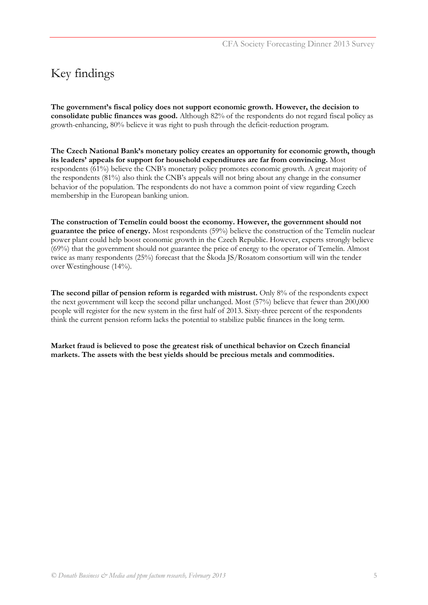### <span id="page-4-0"></span>Key findings

**The government's fiscal policy does not support economic growth. However, the decision to consolidate public finances was good.** Although 82% of the respondents do not regard fiscal policy as growth-enhancing, 80% believe it was right to push through the deficit-reduction program.

**The Czech National Bank's monetary policy creates an opportunity for economic growth, though its leaders' appeals for support for household expenditures are far from convincing.** Most respondents (61%) believe the CNB's monetary policy promotes economic growth. A great majority of the respondents (81%) also think the CNB's appeals will not bring about any change in the consumer behavior of the population. The respondents do not have a common point of view regarding Czech membership in the European banking union.

**The construction of Temelín could boost the economy. However, the government should not guarantee the price of energy.** Most respondents (59%) believe the construction of the Temelín nuclear power plant could help boost economic growth in the Czech Republic. However, experts strongly believe (69%) that the government should not guarantee the price of energy to the operator of Temelín. Almost twice as many respondents (25%) forecast that the Škoda JS/Rosatom consortium will win the tender over Westinghouse (14%).

The second pillar of pension reform is regarded with mistrust. Only 8% of the respondents expect the next government will keep the second pillar unchanged. Most (57%) believe that fewer than 200,000 people will register for the new system in the first half of 2013. Sixty-three percent of the respondents think the current pension reform lacks the potential to stabilize public finances in the long term.

**Market fraud is believed to pose the greatest risk of unethical behavior on Czech financial markets. The assets with the best yields should be precious metals and commodities.**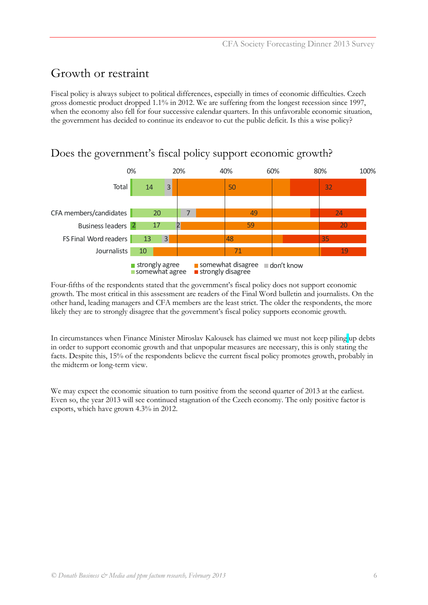### <span id="page-5-0"></span>Growth or restraint

Fiscal policy is always subject to political differences, especially in times of economic difficulties. Czech gross domestic product dropped 1.1% in 2012. We are suffering from the longest recession since 1997, when the economy also fell for four successive calendar quarters. In this unfavorable economic situation, the government has decided to continue its endeavor to cut the public deficit. Is this a wise policy?



### <span id="page-5-1"></span>Does the government's fiscal policy support economic growth?

Four-fifths of the respondents stated that the government's fiscal policy does not support economic growth. The most critical in this assessment are readers of the Final Word bulletin and journalists. On the other hand, leading managers and CFA members are the least strict. The older the respondents, the more likely they are to strongly disagree that the government's fiscal policy supports economic growth.

In circumstances when Finance Minister Miroslav Kalousek has claimed we must not keep piling up debts in order to support economic growth and that unpopular measures are necessary, this is only stating the facts. Despite this, 15% of the respondents believe the current fiscal policy promotes growth, probably in the midterm or long-term view.

We may expect the economic situation to turn positive from the second quarter of 2013 at the earliest. Even so, the year 2013 will see continued stagnation of the Czech economy. The only positive factor is exports, which have grown 4.3% in 2012.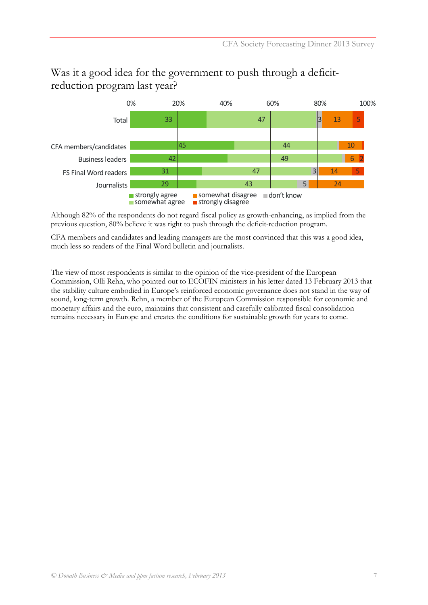

### <span id="page-6-0"></span>Was it a good idea for the government to push through a deficitreduction program last year?

Although 82% of the respondents do not regard fiscal policy as growth-enhancing, as implied from the previous question, 80% believe it was right to push through the deficit-reduction program.

CFA members and candidates and leading managers are the most convinced that this was a good idea, much less so readers of the Final Word bulletin and journalists.

The view of most respondents is similar to the opinion of the vice-president of the European Commission, Olli Rehn, who pointed out to ECOFIN ministers in his letter dated 13 February 2013 that the stability culture embodied in Europe's reinforced economic governance does not stand in the way of sound, long-term growth. Rehn, a member of the European Commission responsible for economic and monetary affairs and the euro, maintains that consistent and carefully calibrated fiscal consolidation remains necessary in Europe and creates the conditions for sustainable growth for years to come.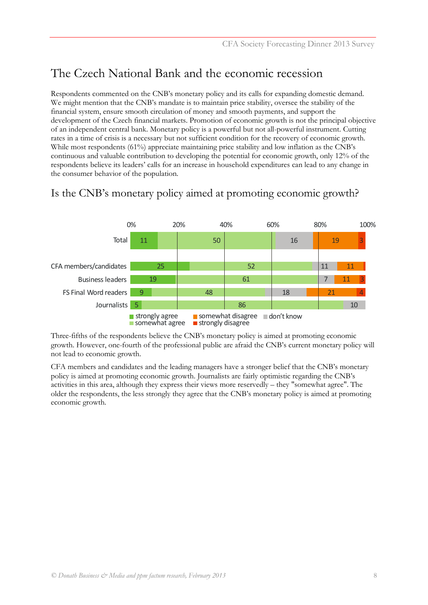### <span id="page-7-0"></span>The Czech National Bank and the economic recession

Respondents commented on the CNB's monetary policy and its calls for expanding domestic demand. We might mention that the CNB's mandate is to maintain price stability, oversee the stability of the financial system, ensure smooth circulation of money and smooth payments, and support the development of the Czech financial markets. Promotion of economic growth is not the principal objective of an independent central bank. Monetary policy is a powerful but not all-powerful instrument. Cutting rates in a time of crisis is a necessary but not sufficient condition for the recovery of economic growth. While most respondents (61%) appreciate maintaining price stability and low inflation as the CNB's continuous and valuable contribution to developing the potential for economic growth, only 12% of the respondents believe its leaders' calls for an increase in household expenditures can lead to any change in the consumer behavior of the population.



#### <span id="page-7-1"></span>Is the CNB's monetary policy aimed at promoting economic growth?

Three-fifths of the respondents believe the CNB's monetary policy is aimed at promoting economic growth. However, one-fourth of the professional public are afraid the CNB's current monetary policy will not lead to economic growth.

CFA members and candidates and the leading managers have a stronger belief that the CNB's monetary policy is aimed at promoting economic growth. Journalists are fairly optimistic regarding the CNB's activities in this area, although they express their views more reservedly – they "somewhat agree". The older the respondents, the less strongly they agree that the CNB's monetary policy is aimed at promoting economic growth.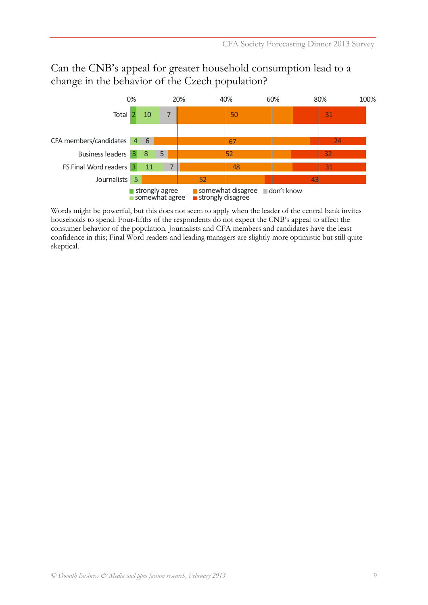<span id="page-8-0"></span>

#### Can the CNB's appeal for greater household consumption lead to a change in the behavior of the Czech population?

Words might be powerful, but this does not seem to apply when the leader of the central bank invites households to spend. Four-fifths of the respondents do not expect the CNB's appeal to affect the consumer behavior of the population. Journalists and CFA members and candidates have the least confidence in this; Final Word readers and leading managers are slightly more optimistic but still quite skeptical.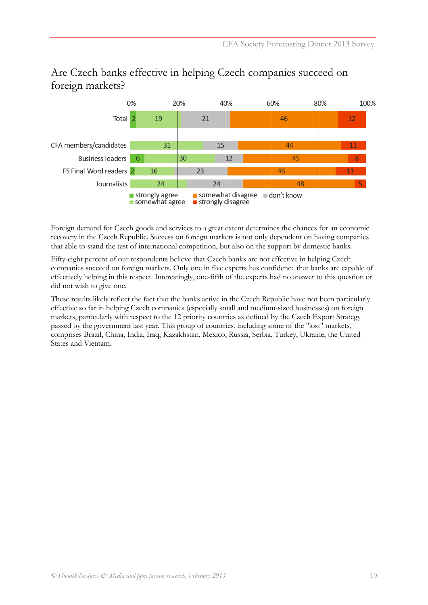

#### Are Czech banks effective in helping Czech companies succeed on foreign markets?

Foreign demand for Czech goods and services to a great extent determines the chances for an economic recovery in the Czech Republic. Success on foreign markets is not only dependent on having companies that able to stand the test of international competition, but also on the support by domestic banks.

<span id="page-9-0"></span>Fifty-eight percent of our respondents believe that Czech banks are not effective in helping Czech companies succeed on foreign markets. Only one in five experts has confidence that banks are capable of effectively helping in this respect. Interestingly, one-fifth of the experts had no answer to this question or did not wish to give one.

These results likely reflect the fact that the banks active in the Czech Republic have not been particularly effective so far in helping Czech companies (especially small and medium-sized businesses) on foreign markets, particularly with respect to the 12 priority countries as defined by the Czech Export Strategy passed by the government last year. This group of countries, including some of the "lost" markets, comprises Brazil, China, India, Iraq, Kazakhstan, Mexico, Russia, Serbia, Turkey, Ukraine, the United States and Vietnam.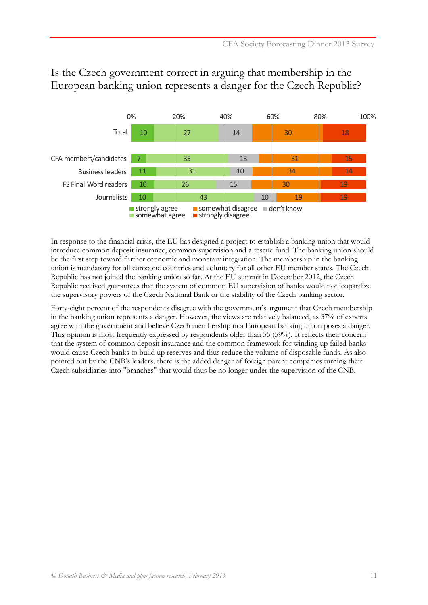

#### <span id="page-10-0"></span>Is the Czech government correct in arguing that membership in the European banking union represents a danger for the Czech Republic?

In response to the financial crisis, the EU has designed a project to establish a banking union that would introduce common deposit insurance, common supervision and a rescue fund. The banking union should be the first step toward further economic and monetary integration. The membership in the banking union is mandatory for all eurozone countries and voluntary for all other EU member states. The Czech Republic has not joined the banking union so far. At the EU summit in December 2012, the Czech Republic received guarantees that the system of common EU supervision of banks would not jeopardize the supervisory powers of the Czech National Bank or the stability of the Czech banking sector.

Forty-eight percent of the respondents disagree with the government's argument that Czech membership in the banking union represents a danger. However, the views are relatively balanced, as 37% of experts agree with the government and believe Czech membership in a European banking union poses a danger. This opinion is most frequently expressed by respondents older than 55 (59%). It reflects their concern that the system of common deposit insurance and the common framework for winding up failed banks would cause Czech banks to build up reserves and thus reduce the volume of disposable funds. As also pointed out by the CNB's leaders, there is the added danger of foreign parent companies turning their Czech subsidiaries into "branches" that would thus be no longer under the supervision of the CNB.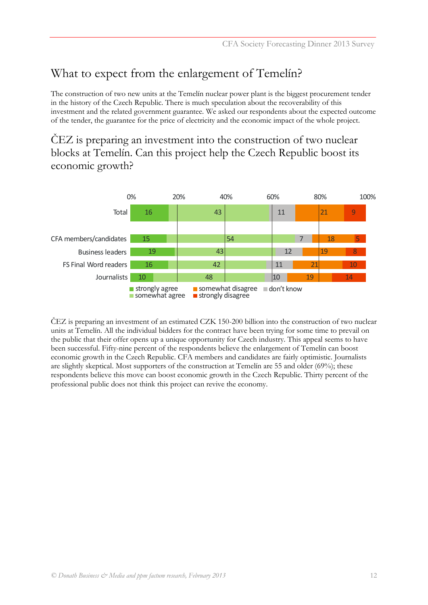### What to expect from the enlargement of Temelín?

The construction of two new units at the Temelín nuclear power plant is the biggest procurement tender in the history of the Czech Republic. There is much speculation about the recoverability of this investment and the related government guarantee. We asked our respondents about the expected outcome of the tender, the guarantee for the price of electricity and the economic impact of the whole project.

<span id="page-11-1"></span>ČEZ is preparing an investment into the construction of two nuclear blocks at Temelín. Can this project help the Czech Republic boost its economic growth?



<span id="page-11-0"></span>ČEZ is preparing an investment of an estimated CZK 150-200 billion into the construction of two nuclear units at Temelín. All the individual bidders for the contract have been trying for some time to prevail on the public that their offer opens up a unique opportunity for Czech industry. This appeal seems to have been successful. Fifty-nine percent of the respondents believe the enlargement of Temelín can boost economic growth in the Czech Republic. CFA members and candidates are fairly optimistic. Journalists are slightly skeptical. Most supporters of the construction at Temelín are 55 and older (69%); these respondents believe this move can boost economic growth in the Czech Republic. Thirty percent of the professional public does not think this project can revive the economy.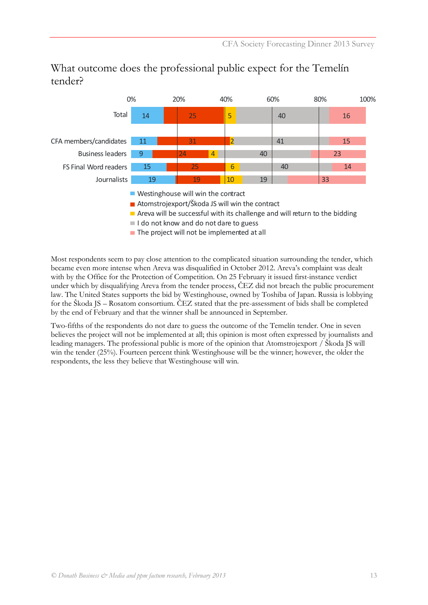14 11 9 15 19 25 31 24 25 19 5 2 4 6  $1<sub>0</sub>$ 40 41 40 40 19 16 15 23 14 33 0% 20% 40% 60% 80% 100% **Total** CFA members/candidates Business leaders FS Final Word readers Journalists

What outcome does the professional public expect for the Temelín tender?

- Westinghouse will win the contract
- Atomstrojexport/Škoda JS will win the contract
- $\blacksquare$  Areva will be successful with its challenge and will return to the bidding
- I do not know and do not dare to guess
- <span id="page-12-0"></span> $\blacksquare$  The project will not be implemented at all

Most respondents seem to pay close attention to the complicated situation surrounding the tender, which became even more intense when Areva was disqualified in October 2012. Areva's complaint was dealt with by the Office for the Protection of Competition. On 25 February it issued first-instance verdict under which by disqualifying Areva from the tender process, ČEZ did not breach the public procurement law. The United States supports the bid by Westinghouse, owned by Toshiba of Japan. Russia is lobbying for the Škoda JS – Rosatom consortium. ČEZ stated that the pre-assessment of bids shall be completed by the end of February and that the winner shall be announced in September.

Two-fifths of the respondents do not dare to guess the outcome of the Temelín tender. One in seven believes the project will not be implemented at all; this opinion is most often expressed by journalists and leading managers. The professional public is more of the opinion that Atomstrojexport / Škoda JS will win the tender (25%). Fourteen percent think Westinghouse will be the winner; however, the older the respondents, the less they believe that Westinghouse will win.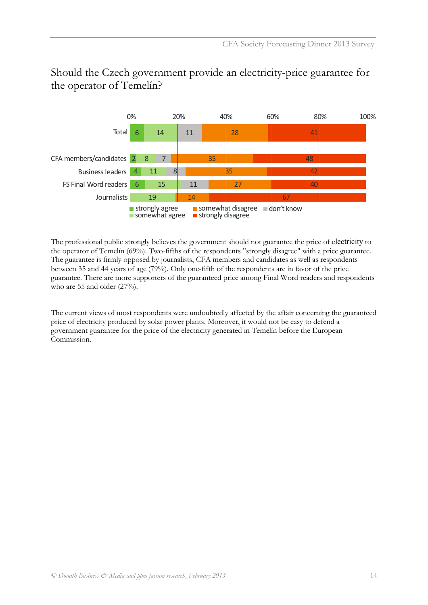

#### <span id="page-13-0"></span>Should the Czech government provide an electricity-price guarantee for the operator of Temelín?

The professional public strongly believes the government should not guarantee the price of electricity to the operator of Temelín (69%). Two-fifths of the respondents "strongly disagree" with a price guarantee. The guarantee is firmly opposed by journalists, CFA members and candidates as well as respondents between 35 and 44 years of age (79%). Only one-fifth of the respondents are in favor of the price guarantee. There are more supporters of the guaranteed price among Final Word readers and respondents who are 55 and older (27%).

The current views of most respondents were undoubtedly affected by the affair concerning the guaranteed price of electricity produced by solar power plants. Moreover, it would not be easy to defend a government guarantee for the price of the electricity generated in Temelín before the European Commission.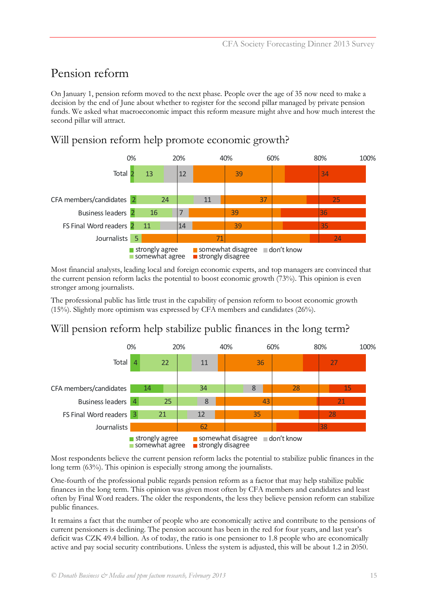### <span id="page-14-0"></span>Pension reform

On January 1, pension reform moved to the next phase. People over the age of 35 now need to make a decision by the end of June about whether to register for the second pillar managed by private pension funds. We asked what macroeconomic impact this reform measure might ahve and how much interest the second pillar will attract.

#### <span id="page-14-1"></span>Will pension reform help promote economic growth?



Most financial analysts, leading local and foreign economic experts, and top managers are convinced that the current pension reform lacks the potential to boost economic growth (73%). This opinion is even stronger among journalists.

<span id="page-14-2"></span>The professional public has little trust in the capability of pension reform to boost economic growth (15%). Slightly more optimism was expressed by CFA members and candidates (26%).

### Will pension reform help stabilize public finances in the long term?



Most respondents believe the current pension reform lacks the potential to stabilize public finances in the long term (63%). This opinion is especially strong among the journalists.

One-fourth of the professional public regards pension reform as a factor that may help stabilize public finances in the long term. This opinion was given most often by CFA members and candidates and least often by Final Word readers. The older the respondents, the less they believe pension reform can stabilize public finances.

It remains a fact that the number of people who are economically active and contribute to the pensions of current pensioners is declining. The pension account has been in the red for four years, and last year's deficit was CZK 49.4 billion. As of today, the ratio is one pensioner to 1.8 people who are economically active and pay social security contributions. Unless the system is adjusted, this will be about 1.2 in 2050.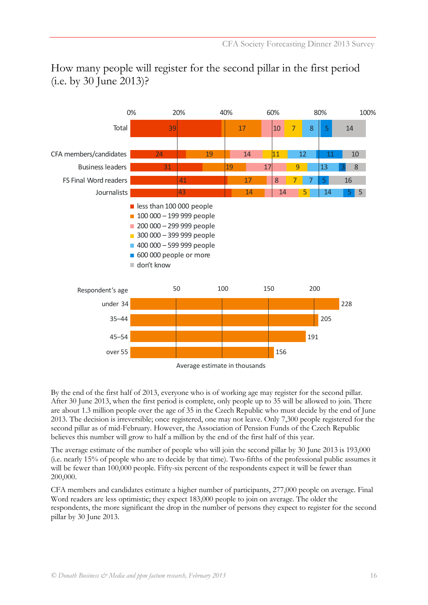

### <span id="page-15-0"></span>How many people will register for the second pillar in the first period (i.e. by 30 June 2013)?

By the end of the first half of 2013, everyone who is of working age may register for the second pillar. After 30 June 2013, when the first period is complete, only people up to 35 will be allowed to join. There are about 1.3 million people over the age of 35 in the Czech Republic who must decide by the end of June 2013. The decision is irreversible; once registered, one may not leave. Only 7,300 people registered for the second pillar as of mid-February. However, the Association of Pension Funds of the Czech Republic believes this number will grow to half a million by the end of the first half of this year.

The average estimate of the number of people who will join the second pillar by 30 June 2013 is 193,000 (i.e. nearly 15% of people who are to decide by that time). Two-fifths of the professional public assumes it will be fewer than 100,000 people. Fifty-six percent of the respondents expect it will be fewer than 200,000.

CFA members and candidates estimate a higher number of participants, 277,000 people on average. Final Word readers are less optimistic; they expect 183,000 people to join on average. The older the respondents, the more significant the drop in the number of persons they expect to register for the second pillar by 30 June 2013.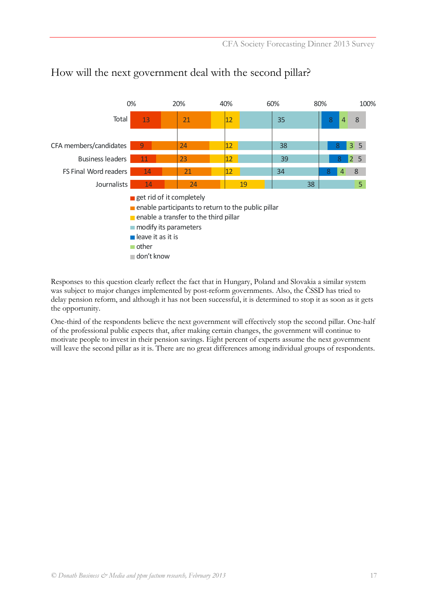

#### How will the next government deal with the second pillar?

Responses to this question clearly reflect the fact that in Hungary, Poland and Slovakia a similar system was subject to major changes implemented by post-reform governments. Also, the ČSSD has tried to delay pension reform, and although it has not been successful, it is determined to stop it as soon as it gets the opportunity.

<span id="page-16-0"></span>One-third of the respondents believe the next government will effectively stop the second pillar. One-half of the professional public expects that, after making certain changes, the government will continue to motivate people to invest in their pension savings. Eight percent of experts assume the next government will leave the second pillar as it is. There are no great differences among individual groups of respondents.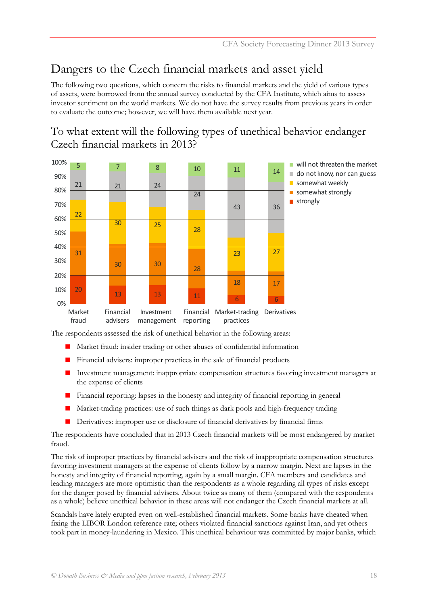## Dangers to the Czech financial markets and asset yield

The following two questions, which concern the risks to financial markets and the yield of various types of assets, were borrowed from the annual survey conducted by the CFA Institute, which aims to assess investor sentiment on the world markets. We do not have the survey results from previous years in order to evaluate the outcome; however, we will have them available next year.

#### <span id="page-17-0"></span>To what extent will the following types of unethical behavior endanger Czech financial markets in 2013?



The respondents assessed the risk of unethical behavior in the following areas:

- Market fraud: insider trading or other abuses of confidential information
- Financial advisers: improper practices in the sale of financial products
- Investment management: inappropriate compensation structures favoring investment managers at the expense of clients
- Financial reporting: lapses in the honesty and integrity of financial reporting in general
- Market-trading practices: use of such things as dark pools and high-frequency trading
- Derivatives: improper use or disclosure of financial derivatives by financial firms

The respondents have concluded that in 2013 Czech financial markets will be most endangered by market fraud.

The risk of improper practices by financial advisers and the risk of inappropriate compensation structures favoring investment managers at the expense of clients follow by a narrow margin. Next are lapses in the honesty and integrity of financial reporting, again by a small margin. CFA members and candidates and leading managers are more optimistic than the respondents as a whole regarding all types of risks except for the danger posed by financial advisers. About twice as many of them (compared with the respondents as a whole) believe unethical behavior in these areas will not endanger the Czech financial markets at all.

Scandals have lately erupted even on well-established financial markets. Some banks have cheated when fixing the LIBOR London reference rate; others violated financial sanctions against Iran, and yet others took part in money-laundering in Mexico. This unethical behaviour was committed by major banks, which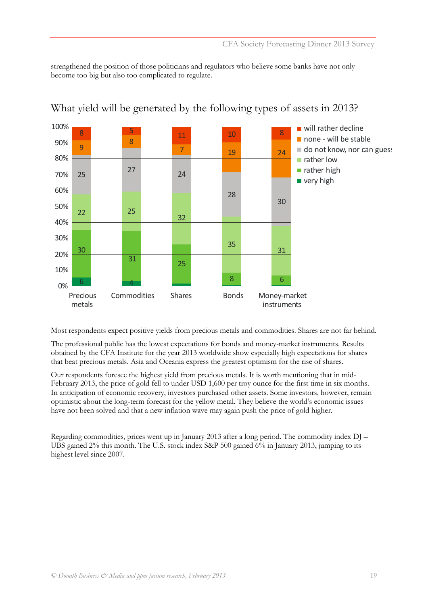strengthened the position of those politicians and regulators who believe some banks have not only become too big but also too complicated to regulate.



#### <span id="page-18-0"></span>What yield will be generated by the following types of assets in 2013?

Most respondents expect positive yields from precious metals and commodities. Shares are not far behind.

The professional public has the lowest expectations for bonds and money-market instruments. Results obtained by the CFA Institute for the year 2013 worldwide show especially high expectations for shares that beat precious metals. Asia and Oceania express the greatest optimism for the rise of shares.

Our respondents foresee the highest yield from precious metals. It is worth mentioning that in mid-February 2013, the price of gold fell to under USD 1,600 per troy ounce for the first time in six months. In anticipation of economic recovery, investors purchased other assets. Some investors, however, remain optimistic about the long-term forecast for the yellow metal. They believe the world's economic issues have not been solved and that a new inflation wave may again push the price of gold higher.

Regarding commodities, prices went up in January 2013 after a long period. The commodity index DJ – UBS gained 2% this month. The U.S. stock index S&P 500 gained 6% in January 2013, jumping to its highest level since 2007.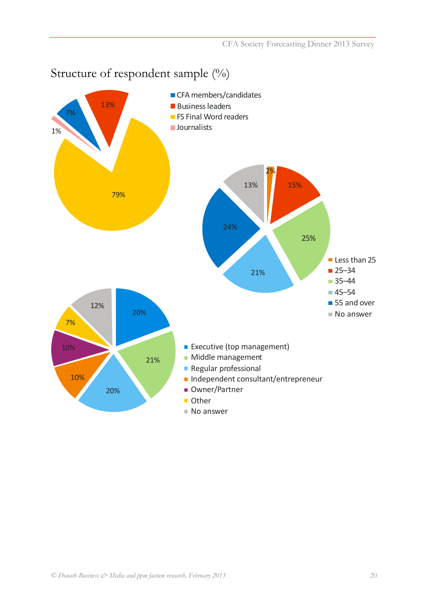#### <span id="page-19-0"></span>Less than 25 ■ 25–34 ■ 35–44 45–54 ■ 55 and over ■ No answer **Executive (top management) Middle management Regular professional** Independent consultant/entrepreneur ■ Owner/Partner **Other** ■ No answer ■ CFA members/candidates **Business leaders FILM** FS Final Word readers **Journalists** 79% 21% 10% 7% 10% 12% 20% 21% 20% 25% 15% 2% 13% 24% 13% 7% 1%

### Structure of respondent sample (%)